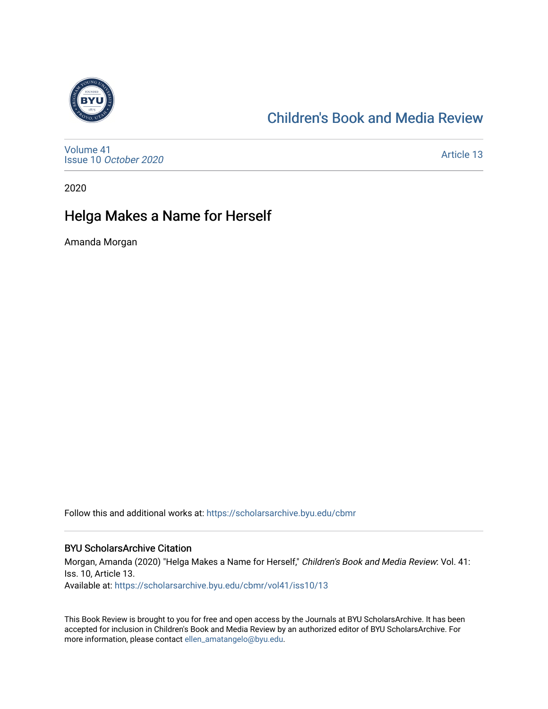

# [Children's Book and Media Review](https://scholarsarchive.byu.edu/cbmr)

[Volume 41](https://scholarsarchive.byu.edu/cbmr/vol41) Issue 10 [October 2020](https://scholarsarchive.byu.edu/cbmr/vol41/iss10)

[Article 13](https://scholarsarchive.byu.edu/cbmr/vol41/iss10/13) 

2020

# Helga Makes a Name for Herself

Amanda Morgan

Follow this and additional works at: [https://scholarsarchive.byu.edu/cbmr](https://scholarsarchive.byu.edu/cbmr?utm_source=scholarsarchive.byu.edu%2Fcbmr%2Fvol41%2Fiss10%2F13&utm_medium=PDF&utm_campaign=PDFCoverPages) 

#### BYU ScholarsArchive Citation

Morgan, Amanda (2020) "Helga Makes a Name for Herself," Children's Book and Media Review: Vol. 41: Iss. 10, Article 13. Available at: [https://scholarsarchive.byu.edu/cbmr/vol41/iss10/13](https://scholarsarchive.byu.edu/cbmr/vol41/iss10/13?utm_source=scholarsarchive.byu.edu%2Fcbmr%2Fvol41%2Fiss10%2F13&utm_medium=PDF&utm_campaign=PDFCoverPages) 

This Book Review is brought to you for free and open access by the Journals at BYU ScholarsArchive. It has been accepted for inclusion in Children's Book and Media Review by an authorized editor of BYU ScholarsArchive. For more information, please contact [ellen\\_amatangelo@byu.edu.](mailto:ellen_amatangelo@byu.edu)